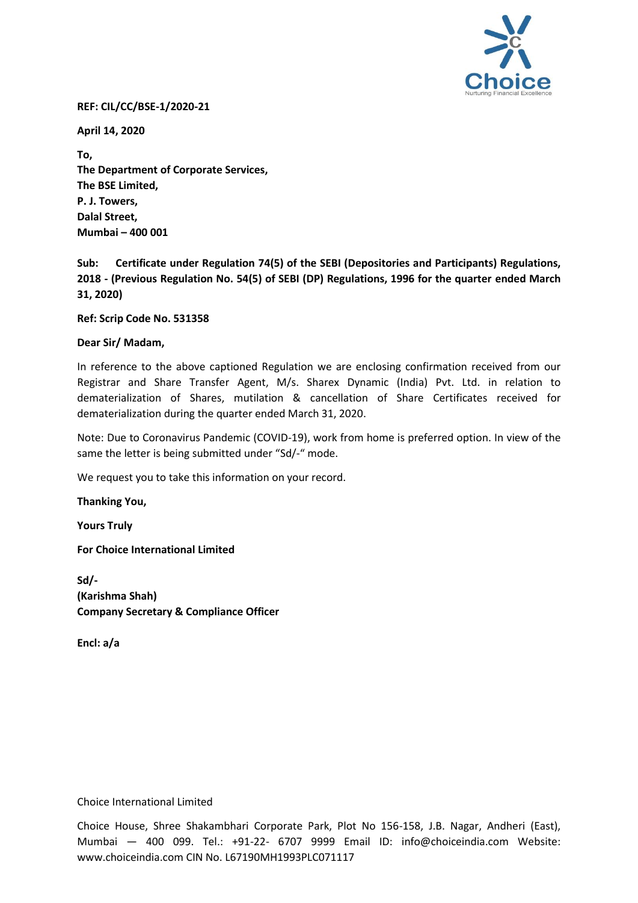

## **REF: CIL/CC/BSE-1/2020-21**

**April 14, 2020**

**To, The Department of Corporate Services, The BSE Limited, P. J. Towers, Dalal Street, Mumbai – 400 001**

**Sub: Certificate under Regulation 74(5) of the SEBI (Depositories and Participants) Regulations, 2018 - (Previous Regulation No. 54(5) of SEBI (DP) Regulations, 1996 for the quarter ended March 31, 2020)** 

**Ref: Scrip Code No. 531358**

## **Dear Sir/ Madam,**

In reference to the above captioned Regulation we are enclosing confirmation received from our Registrar and Share Transfer Agent, M/s. Sharex Dynamic (India) Pvt. Ltd. in relation to dematerialization of Shares, mutilation & cancellation of Share Certificates received for dematerialization during the quarter ended March 31, 2020.

Note: Due to Coronavirus Pandemic (COVID-19), work from home is preferred option. In view of the same the letter is being submitted under "Sd/-" mode.

We request you to take this information on your record.

**Thanking You,**

**Yours Truly** 

**For Choice International Limited** 

**Sd/- (Karishma Shah) Company Secretary & Compliance Officer**

**Encl: a/a**

Choice International Limited

Choice House, Shree Shakambhari Corporate Park, Plot No 156-158, J.B. Nagar, Andheri (East), Mumbai — 400 099. Tel.: +91-22- 6707 9999 Email ID: info@choiceindia.com Website: www.choiceindia.com CIN No. L67190MH1993PLC071117